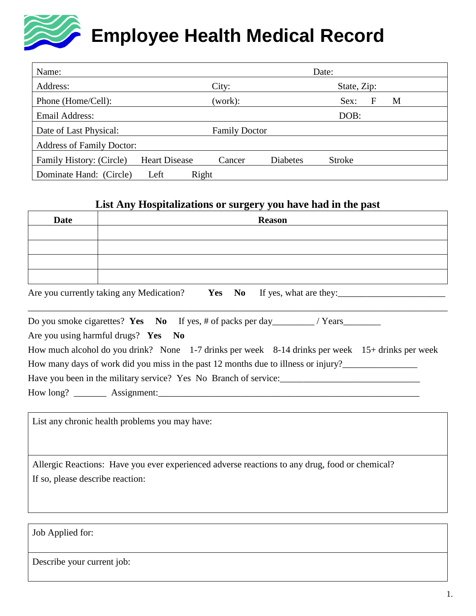# **Employee Health Medical Record**

| Name:                            | Date:                |                      |                 |               |   |
|----------------------------------|----------------------|----------------------|-----------------|---------------|---|
| Address:                         |                      | City:                |                 | State, Zip:   |   |
| Phone (Home/Cell):               |                      | (work):              |                 | Sex:<br>F     | M |
| Email Address:                   |                      |                      |                 | DOB:          |   |
| Date of Last Physical:           |                      | <b>Family Doctor</b> |                 |               |   |
| <b>Address of Family Doctor:</b> |                      |                      |                 |               |   |
| Family History: (Circle)         | <b>Heart Disease</b> | Cancer               | <b>Diabetes</b> | <b>Stroke</b> |   |
| Dominate Hand: (Circle)          | Right<br>Left        |                      |                 |               |   |

### **List Any Hospitalizations or surgery you have had in the past**

| <b>Date</b> | <b>Reason</b>                                                                                    |
|-------------|--------------------------------------------------------------------------------------------------|
|             |                                                                                                  |
|             |                                                                                                  |
|             |                                                                                                  |
|             | Are you currently taking any Medication? Yes No If yes, what are they:                           |
|             |                                                                                                  |
|             | Are you using harmful drugs? Yes No                                                              |
|             | How much alcohol do you drink? None 1-7 drinks per week 8-14 drinks per week 15+ drinks per week |
|             | How many days of work did you miss in the past 12 months due to illness or injury?               |

Have you been in the military service? Yes No Branch of service:\_\_\_\_\_\_\_\_\_\_\_\_\_\_\_\_\_\_\_\_\_\_\_\_\_\_\_\_\_\_ How long? \_\_\_\_\_\_\_\_\_ Assignment:

List any chronic health problems you may have:

Allergic Reactions: Have you ever experienced adverse reactions to any drug, food or chemical? If so, please describe reaction:

Job Applied for:

Describe your current job: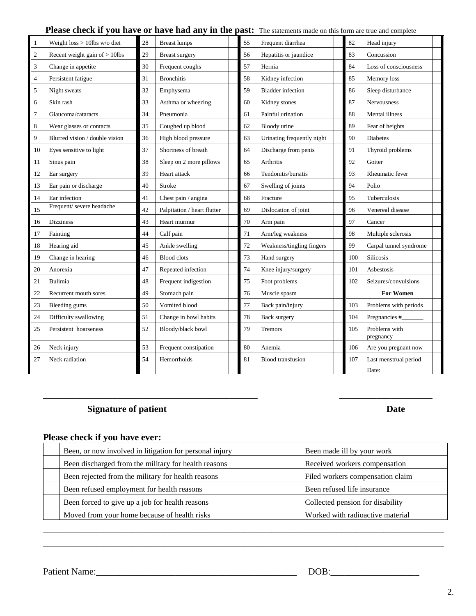#### Please check if you have or have had any in the past: The statements made on this form are true and complete

| 1              | Weight $loss > 10$ lbs w/o diet  | 28 | <b>Breast lumps</b>         | 55 | Frequent diarrhea          | 82  | Head injury                    |
|----------------|----------------------------------|----|-----------------------------|----|----------------------------|-----|--------------------------------|
| $\overline{2}$ | Recent weight gain of $> 10$ lbs | 29 | <b>Breast surgery</b>       | 56 | Hepatitis or jaundice      | 83  | Concussion                     |
| 3              | Change in appetite               | 30 | Frequent coughs             | 57 | Hernia                     | 84  | Loss of consciousness          |
| $\overline{4}$ | Persistent fatigue               | 31 | <b>Bronchitis</b>           | 58 | Kidney infection           | 85  | Memory loss                    |
| 5              | Night sweats                     | 32 | Emphysema                   | 59 | <b>Bladder</b> infection   | 86  | Sleep disturbance              |
| 6              | Skin rash                        | 33 | Asthma or wheezing          | 60 | Kidney stones              | 87  | <b>Nervousness</b>             |
| 7              | Glaucoma/cataracts               | 34 | Pneumonia                   | 61 | Painful urination          | 88  | Mental illness                 |
| 8              | Wear glasses or contacts         | 35 | Coughed up blood            | 62 | Bloody urine               | 89  | Fear of heights                |
| 9              | Blurred vision / double vision   | 36 | High blood pressure         | 63 | Urinating frequently night | 90  | <b>Diabetes</b>                |
| 10             | Eyes sensitive to light          | 37 | Shortness of breath         | 64 | Discharge from penis       | 91  | Thyroid problems               |
| 11             | Sinus pain                       | 38 | Sleep on 2 more pillows     | 65 | Arthritis                  | 92  | Goiter                         |
| 12             | Ear surgery                      | 39 | Heart attack                | 66 | Tendonitis/bursitis        | 93  | Rheumatic fever                |
| 13             | Ear pain or discharge            | 40 | <b>Stroke</b>               | 67 | Swelling of joints         | 94  | Polio                          |
| 14             | Ear infection                    | 41 | Chest pain / angina         | 68 | Fracture                   | 95  | Tuberculosis                   |
| 15             | Frequent/ severe headache        | 42 | Palpitation / heart flutter | 69 | Dislocation of joint       | 96  | Venereal disease               |
| 16             | <b>Dizziness</b>                 | 43 | Heart murmur                | 70 | Arm pain                   | 97  | Cancer                         |
| 17             | Fainting                         | 44 | Calf pain                   | 71 | Arm/leg weakness           | 98  | Multiple sclerosis             |
| 18             | Hearing aid                      | 45 | Ankle swelling              | 72 | Weakness/tingling fingers  | 99  | Carpal tunnel syndrome         |
| 19             | Change in hearing                | 46 | <b>Blood</b> clots          | 73 | Hand surgery               | 100 | <b>Silicosis</b>               |
| 20             | Anorexia                         | 47 | Repeated infection          | 74 | Knee injury/surgery        | 101 | Asbestosis                     |
| 21             | Bulimia                          | 48 | Frequent indigestion        | 75 | Foot problems              | 102 | Seizures/convulsions           |
| 22             | Recurrent mouth sores            | 49 | Stomach pain                | 76 | Muscle spasm               |     | <b>For Women</b>               |
| 23             | Bleeding gums                    | 50 | Vomited blood               | 77 | Back pain/injury           | 103 | Problems with periods          |
| 24             | Difficulty swallowing            | 51 | Change in bowl habits       | 78 | Back surgery               | 104 | Pregnancies #                  |
| 25             | Persistent hoarseness            | 52 | Bloody/black bowl           | 79 | Tremors                    | 105 | Problems with<br>pregnancy     |
| 26             | Neck injury                      | 53 | Frequent constipation       | 80 | Anemia                     | 106 | Are you pregnant now           |
| 27             | Neck radiation                   | 54 | Hemorrhoids                 | 81 | <b>Blood</b> transfusion   | 107 | Last menstrual period<br>Date: |

#### **Signature of patient Date**

#### **Please check if you have ever:**

| Been, or now involved in litigation for personal injury | Been made ill by your work       |
|---------------------------------------------------------|----------------------------------|
| Been discharged from the military for health reasons    | Received workers compensation    |
| Been rejected from the military for health reasons      | Filed workers compensation claim |
| Been refused employment for health reasons              | Been refused life insurance      |
| Been forced to give up a job for health reasons         | Collected pension for disability |
| Moved from your home because of health risks            | Worked with radioactive material |

\_\_\_\_\_\_\_\_\_\_\_\_\_\_\_\_\_\_\_\_\_\_\_\_\_\_\_\_\_\_\_\_\_\_\_\_\_\_\_\_\_\_\_\_\_\_\_\_\_\_\_\_\_\_\_\_\_\_\_\_\_\_\_\_\_\_\_\_\_\_\_\_\_\_\_\_\_\_\_\_\_\_\_\_\_\_

\_\_\_\_\_\_\_\_\_\_\_\_\_\_\_\_\_\_\_\_\_\_\_\_\_\_\_\_\_\_\_\_\_\_\_\_\_\_\_\_\_\_\_\_\_\_ \_\_\_\_\_\_\_\_\_\_\_\_\_\_\_\_\_\_\_\_

Patient Name:\_\_\_\_\_\_\_\_\_\_\_\_\_\_\_\_\_\_\_\_\_\_\_\_\_\_\_\_\_\_\_\_\_\_\_\_\_\_\_\_\_\_\_ DOB:\_\_\_\_\_\_\_\_\_\_\_\_\_\_\_\_\_\_\_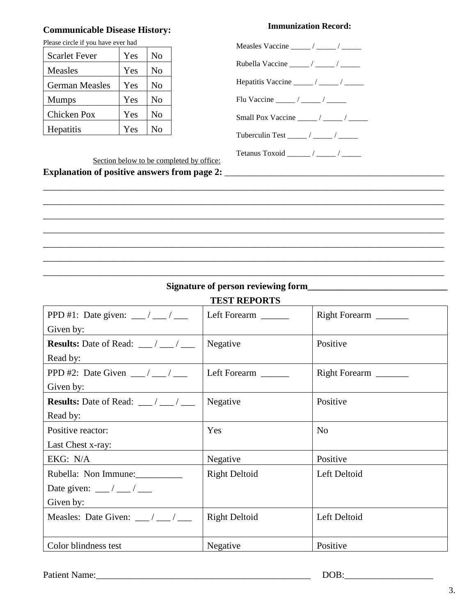#### **Communicable Disease History:**

# Please circle if you have ever had Scarlet Fever | Yes | No Measles | Yes | No German Measles | Yes | No Mumps | Yes | No Chicken Pox | Yes | No Hepatitis | Yes | No

#### **Immunization Record:**

| Measles Vaccine $\frac{\ }{\ }$ / _______ / _______ /    |  |
|----------------------------------------------------------|--|
|                                                          |  |
|                                                          |  |
|                                                          |  |
| Small Pox Vaccine $\frac{\ }{\ }$ / _______ / ________ / |  |
| Tuberculin Test $\frac{\ }{\ }$ / ________ / _______     |  |
|                                                          |  |

Section below to be completed by office:

**Explanation of positive answers from page 2: \_\_\_\_\_\_\_\_\_\_\_\_\_\_\_\_\_\_\_\_\_\_\_\_\_\_\_\_\_\_\_\_\_\_** 

| <b>TEST REPORTS</b>                                              |                      |                |  |  |
|------------------------------------------------------------------|----------------------|----------------|--|--|
| PPD #1: Date given: ___/ ___/ ___                                | Left Forearm ______  |                |  |  |
| Given by:                                                        |                      |                |  |  |
| <b>Results:</b> Date of Read: $\frac{\ }{\ }$ / $\frac{\ }{\ }$  | Negative             | Positive       |  |  |
| Read by:                                                         |                      |                |  |  |
| PPD #2: Date Given $\frac{1}{\sqrt{2}}$                          | Left Forearm _______ | Right Forearm  |  |  |
| Given by:                                                        |                      |                |  |  |
| <b>Results:</b> Date of Read: $\frac{\ }{2}$ / $\frac{\ }{2}$    | Negative             | Positive       |  |  |
| Read by:                                                         |                      |                |  |  |
| Positive reactor:                                                | Yes                  | N <sub>0</sub> |  |  |
| Last Chest x-ray:                                                |                      |                |  |  |
| EKG: N/A                                                         | Negative             | Positive       |  |  |
| Rubella: Non Immune:                                             | <b>Right Deltoid</b> | Left Deltoid   |  |  |
| Date given: $\frac{\ }{\ }$ / __ / __                            |                      |                |  |  |
| Given by:<br><u> 1980 - Andrea Station Barbara, amerikan per</u> |                      |                |  |  |
| Measles: Date Given: $\frac{\ }{\ }$ / $\frac{\ }{\ }$           | <b>Right Deltoid</b> | Left Deltoid   |  |  |
|                                                                  |                      |                |  |  |
| Color blindness test                                             | Negative             | Positive       |  |  |

**Signature of person reviewing form\_\_\_\_\_\_\_\_\_\_\_\_\_\_\_\_\_\_\_\_\_\_\_\_\_\_\_\_\_\_**

\_\_\_\_\_\_\_\_\_\_\_\_\_\_\_\_\_\_\_\_\_\_\_\_\_\_\_\_\_\_\_\_\_\_\_\_\_\_\_\_\_\_\_\_\_\_\_\_\_\_\_\_\_\_\_\_\_\_\_\_\_\_\_\_\_\_\_\_\_\_\_\_\_\_\_\_\_\_\_\_\_\_\_\_\_\_ \_\_\_\_\_\_\_\_\_\_\_\_\_\_\_\_\_\_\_\_\_\_\_\_\_\_\_\_\_\_\_\_\_\_\_\_\_\_\_\_\_\_\_\_\_\_\_\_\_\_\_\_\_\_\_\_\_\_\_\_\_\_\_\_\_\_\_\_\_\_\_\_\_\_\_\_\_\_\_\_\_\_\_\_\_\_ \_\_\_\_\_\_\_\_\_\_\_\_\_\_\_\_\_\_\_\_\_\_\_\_\_\_\_\_\_\_\_\_\_\_\_\_\_\_\_\_\_\_\_\_\_\_\_\_\_\_\_\_\_\_\_\_\_\_\_\_\_\_\_\_\_\_\_\_\_\_\_\_\_\_\_\_\_\_\_\_\_\_\_\_\_\_ \_\_\_\_\_\_\_\_\_\_\_\_\_\_\_\_\_\_\_\_\_\_\_\_\_\_\_\_\_\_\_\_\_\_\_\_\_\_\_\_\_\_\_\_\_\_\_\_\_\_\_\_\_\_\_\_\_\_\_\_\_\_\_\_\_\_\_\_\_\_\_\_\_\_\_\_\_\_\_\_\_\_\_\_\_\_ \_\_\_\_\_\_\_\_\_\_\_\_\_\_\_\_\_\_\_\_\_\_\_\_\_\_\_\_\_\_\_\_\_\_\_\_\_\_\_\_\_\_\_\_\_\_\_\_\_\_\_\_\_\_\_\_\_\_\_\_\_\_\_\_\_\_\_\_\_\_\_\_\_\_\_\_\_\_\_\_\_\_\_\_\_\_ \_\_\_\_\_\_\_\_\_\_\_\_\_\_\_\_\_\_\_\_\_\_\_\_\_\_\_\_\_\_\_\_\_\_\_\_\_\_\_\_\_\_\_\_\_\_\_\_\_\_\_\_\_\_\_\_\_\_\_\_\_\_\_\_\_\_\_\_\_\_\_\_\_\_\_\_\_\_\_\_\_\_\_\_\_\_ \_\_\_\_\_\_\_\_\_\_\_\_\_\_\_\_\_\_\_\_\_\_\_\_\_\_\_\_\_\_\_\_\_\_\_\_\_\_\_\_\_\_\_\_\_\_\_\_\_\_\_\_\_\_\_\_\_\_\_\_\_\_\_\_\_\_\_\_\_\_\_\_\_\_\_\_\_\_\_\_\_\_\_\_\_\_

Patient Name:\_\_\_\_\_\_\_\_\_\_\_\_\_\_\_\_\_\_\_\_\_\_\_\_\_\_\_\_\_\_\_\_\_\_\_\_\_\_\_\_\_\_\_\_\_\_ DOB:\_\_\_\_\_\_\_\_\_\_\_\_\_\_\_\_\_\_\_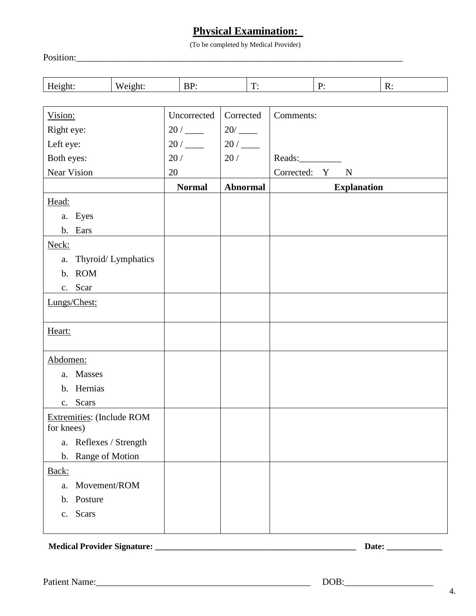## **Physical Examination:**

(To be completed by Medical Provider)

Position:\_\_\_\_\_\_\_\_\_\_\_\_\_\_\_\_\_\_\_\_\_\_\_\_\_\_\_\_\_\_\_\_\_\_\_\_\_\_\_\_\_\_\_\_\_\_\_\_\_\_\_\_\_\_\_\_\_\_\_\_\_\_\_\_\_\_\_\_\_\_

| $\mathbf{r}$<br>. . |  | $\overline{\phantom{a}}$ | - | . |
|---------------------|--|--------------------------|---|---|
|                     |  |                          |   |   |

| <b>Explanation</b> |
|--------------------|
|                    |
|                    |
|                    |
|                    |
|                    |
|                    |
|                    |
|                    |
|                    |
|                    |
|                    |
|                    |
|                    |
|                    |
|                    |
|                    |
|                    |
|                    |
|                    |
|                    |
|                    |
|                    |
|                    |
|                    |

**Medical Provider Signature: \_\_\_\_\_\_\_\_\_\_\_\_\_\_\_\_\_\_\_\_\_\_\_\_\_\_\_\_\_\_\_\_\_\_\_\_\_\_\_\_\_\_\_\_\_\_\_ Date: \_\_\_\_\_\_\_\_\_\_\_\_\_**